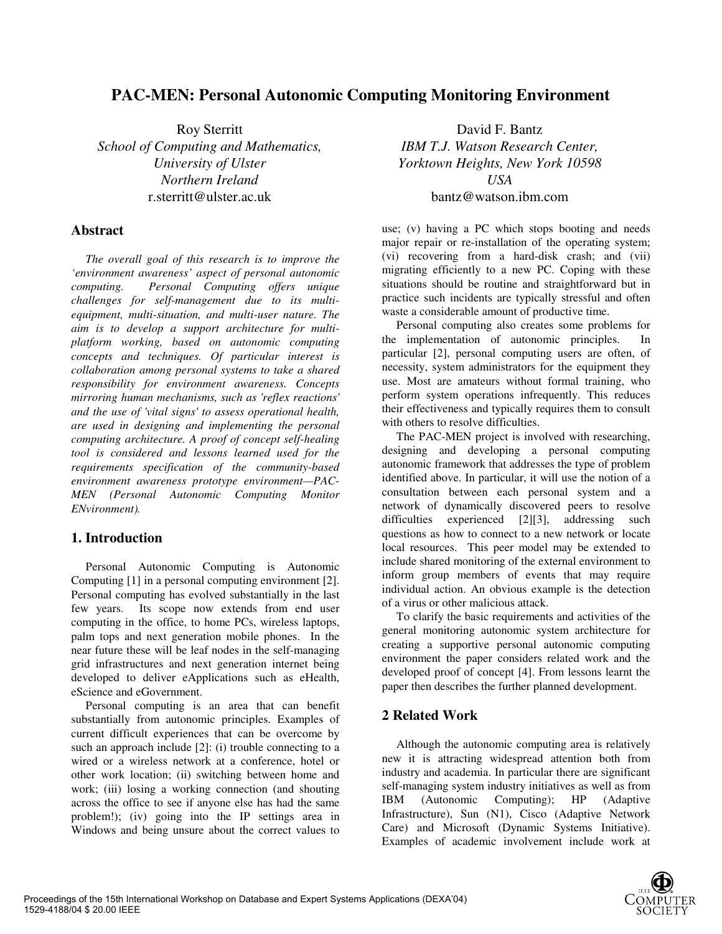# **PAC-MEN: Personal Autonomic Computing Monitoring Environment**

Roy Sterritt *School of Computing and Mathematics, University of Ulster Northern Ireland*  r.sterritt@ulster.ac.uk

### **Abstract**

*The overall goal of this research is to improve the 'environment awareness' aspect of personal autonomic computing. Personal Computing offers unique challenges for self-management due to its multiequipment, multi-situation, and multi-user nature. The aim is to develop a support architecture for multiplatform working, based on autonomic computing concepts and techniques. Of particular interest is collaboration among personal systems to take a shared responsibility for environment awareness. Concepts mirroring human mechanisms, such as 'reflex reactions' and the use of 'vital signs' to assess operational health, are used in designing and implementing the personal computing architecture. A proof of concept self-healing tool is considered and lessons learned used for the requirements specification of the community-based environment awareness prototype environment—PAC-MEN (Personal Autonomic Computing Monitor ENvironment).* 

### **1. Introduction**

Personal Autonomic Computing is Autonomic Computing [1] in a personal computing environment [2]. Personal computing has evolved substantially in the last few years. Its scope now extends from end user computing in the office, to home PCs, wireless laptops, palm tops and next generation mobile phones. In the near future these will be leaf nodes in the self-managing grid infrastructures and next generation internet being developed to deliver eApplications such as eHealth, eScience and eGovernment.

Personal computing is an area that can benefit substantially from autonomic principles. Examples of current difficult experiences that can be overcome by such an approach include [2]: (i) trouble connecting to a wired or a wireless network at a conference, hotel or other work location; (ii) switching between home and work; (iii) losing a working connection (and shouting across the office to see if anyone else has had the same problem!); (iv) going into the IP settings area in Windows and being unsure about the correct values to

David F. Bantz *IBM T.J. Watson Research Center, Yorktown Heights, New York 10598 USA*  bantz@watson.ibm.com

use; (v) having a PC which stops booting and needs major repair or re-installation of the operating system; (vi) recovering from a hard-disk crash; and (vii) migrating efficiently to a new PC. Coping with these situations should be routine and straightforward but in practice such incidents are typically stressful and often waste a considerable amount of productive time.

Personal computing also creates some problems for the implementation of autonomic principles. particular [2], personal computing users are often, of necessity, system administrators for the equipment they use. Most are amateurs without formal training, who perform system operations infrequently. This reduces their effectiveness and typically requires them to consult with others to resolve difficulties.

The PAC-MEN project is involved with researching, designing and developing a personal computing autonomic framework that addresses the type of problem identified above. In particular, it will use the notion of a consultation between each personal system and a network of dynamically discovered peers to resolve difficulties experienced [2][3], addressing such questions as how to connect to a new network or locate local resources. This peer model may be extended to include shared monitoring of the external environment to inform group members of events that may require individual action. An obvious example is the detection of a virus or other malicious attack.

To clarify the basic requirements and activities of the general monitoring autonomic system architecture for creating a supportive personal autonomic computing environment the paper considers related work and the developed proof of concept [4]. From lessons learnt the paper then describes the further planned development.

### **2 Related Work**

Although the autonomic computing area is relatively new it is attracting widespread attention both from industry and academia. In particular there are significant self-managing system industry initiatives as well as from IBM (Autonomic Computing); HP (Adaptive Infrastructure), Sun (N1), Cisco (Adaptive Network Care) and Microsoft (Dynamic Systems Initiative). Examples of academic involvement include work at

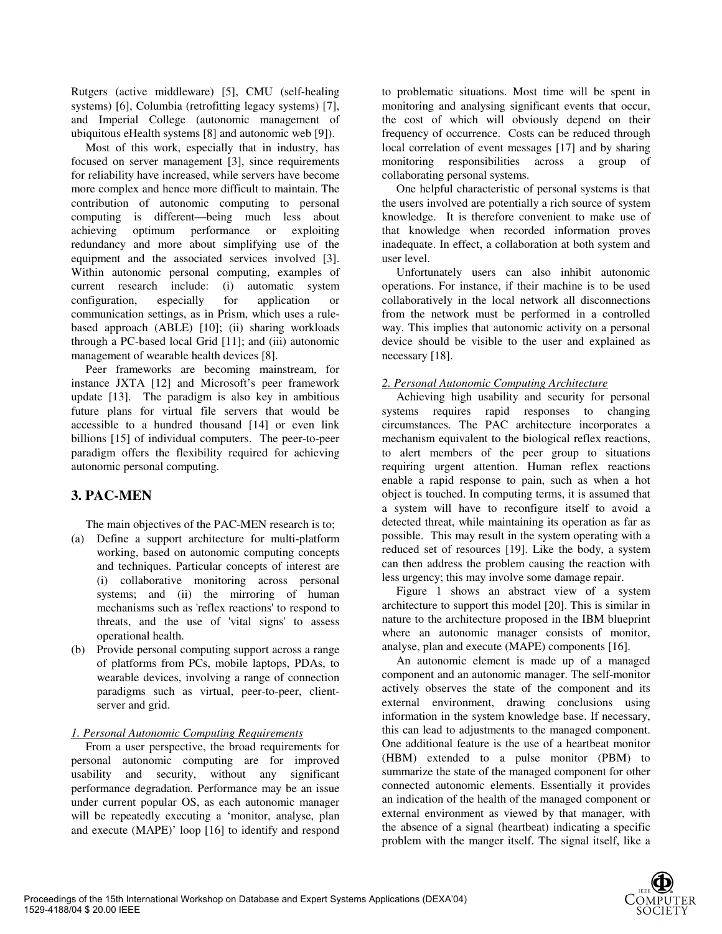Rutgers (active middleware) [5], CMU (self-healing systems) [6], Columbia (retrofitting legacy systems) [7], and Imperial College (autonomic management of ubiquitous eHealth systems [8] and autonomic web [9]).

Most of this work, especially that in industry, has focused on server management [3], since requirements for reliability have increased, while servers have become more complex and hence more difficult to maintain. The contribution of autonomic computing to personal computing is different—being much less about achieving optimum performance or exploiting redundancy and more about simplifying use of the equipment and the associated services involved [3]. Within autonomic personal computing, examples of current research include: (i) automatic system configuration, especially for application or communication settings, as in Prism, which uses a rulebased approach (ABLE) [10]; (ii) sharing workloads through a PC-based local Grid [11]; and (iii) autonomic management of wearable health devices [8].

Peer frameworks are becoming mainstream, for instance JXTA [12] and Microsoft's peer framework update [13]. The paradigm is also key in ambitious future plans for virtual file servers that would be accessible to a hundred thousand [14] or even link billions [15] of individual computers. The peer-to-peer paradigm offers the flexibility required for achieving autonomic personal computing.

## **3. PAC-MEN**

The main objectives of the PAC-MEN research is to;

- (a) Define a support architecture for multi-platform working, based on autonomic computing concepts and techniques. Particular concepts of interest are (i) collaborative monitoring across personal systems; and (ii) the mirroring of human mechanisms such as 'reflex reactions' to respond to threats, and the use of 'vital signs' to assess operational health.
- (b) Provide personal computing support across a range of platforms from PCs, mobile laptops, PDAs, to wearable devices, involving a range of connection paradigms such as virtual, peer-to-peer, clientserver and grid.

#### *1. Personal Autonomic Computing Requirements*

From a user perspective, the broad requirements for personal autonomic computing are for improved usability and security, without any significant performance degradation. Performance may be an issue under current popular OS, as each autonomic manager will be repeatedly executing a 'monitor, analyse, plan and execute (MAPE)' loop [16] to identify and respond to problematic situations. Most time will be spent in monitoring and analysing significant events that occur, the cost of which will obviously depend on their frequency of occurrence. Costs can be reduced through local correlation of event messages [17] and by sharing monitoring responsibilities across a group of collaborating personal systems.

One helpful characteristic of personal systems is that the users involved are potentially a rich source of system knowledge. It is therefore convenient to make use of that knowledge when recorded information proves inadequate. In effect, a collaboration at both system and user level.

Unfortunately users can also inhibit autonomic operations. For instance, if their machine is to be used collaboratively in the local network all disconnections from the network must be performed in a controlled way. This implies that autonomic activity on a personal device should be visible to the user and explained as necessary [18].

#### *2. Personal Autonomic Computing Architecture*

Achieving high usability and security for personal systems requires rapid responses to changing circumstances. The PAC architecture incorporates a mechanism equivalent to the biological reflex reactions, to alert members of the peer group to situations requiring urgent attention. Human reflex reactions enable a rapid response to pain, such as when a hot object is touched. In computing terms, it is assumed that a system will have to reconfigure itself to avoid a detected threat, while maintaining its operation as far as possible. This may result in the system operating with a reduced set of resources [19]. Like the body, a system can then address the problem causing the reaction with less urgency; this may involve some damage repair.

Figure 1 shows an abstract view of a system architecture to support this model [20]. This is similar in nature to the architecture proposed in the IBM blueprint where an autonomic manager consists of monitor, analyse, plan and execute (MAPE) components [16].

An autonomic element is made up of a managed component and an autonomic manager. The self-monitor actively observes the state of the component and its external environment, drawing conclusions using information in the system knowledge base. If necessary, this can lead to adjustments to the managed component. One additional feature is the use of a heartbeat monitor (HBM) extended to a pulse monitor (PBM) to summarize the state of the managed component for other connected autonomic elements. Essentially it provides an indication of the health of the managed component or external environment as viewed by that manager, with the absence of a signal (heartbeat) indicating a specific problem with the manger itself. The signal itself, like a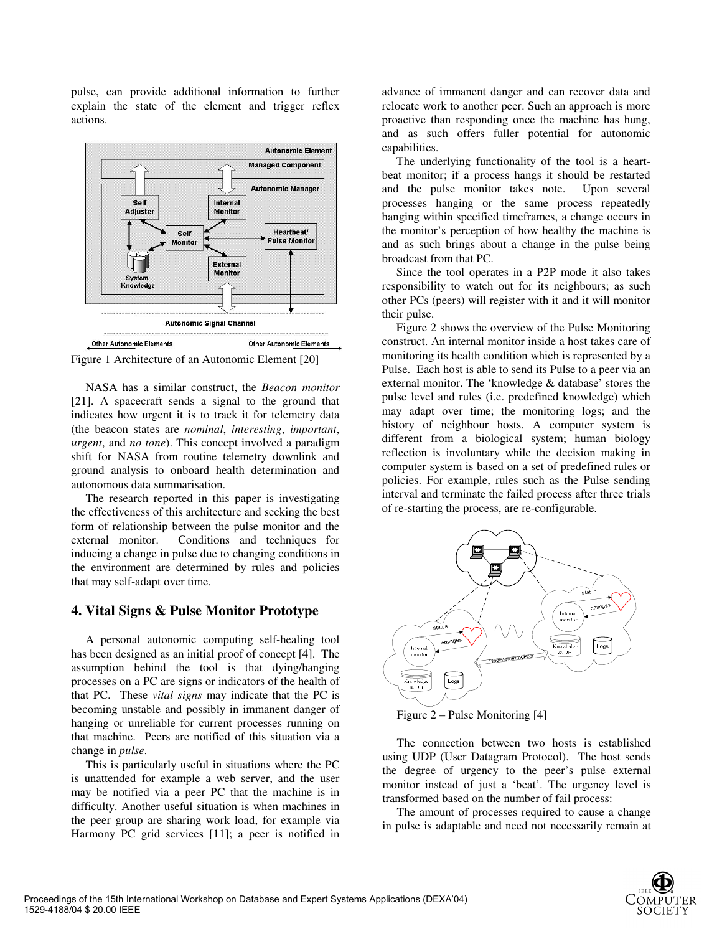pulse, can provide additional information to further explain the state of the element and trigger reflex actions.





NASA has a similar construct, the *Beacon monitor*  [21]. A spacecraft sends a signal to the ground that indicates how urgent it is to track it for telemetry data (the beacon states are *nominal*, *interesting*, *important*, *urgent*, and *no tone*). This concept involved a paradigm shift for NASA from routine telemetry downlink and ground analysis to onboard health determination and autonomous data summarisation.

The research reported in this paper is investigating the effectiveness of this architecture and seeking the best form of relationship between the pulse monitor and the external monitor. Conditions and techniques for inducing a change in pulse due to changing conditions in the environment are determined by rules and policies that may self-adapt over time.

### **4. Vital Signs & Pulse Monitor Prototype**

A personal autonomic computing self-healing tool has been designed as an initial proof of concept [4]. The assumption behind the tool is that dying/hanging processes on a PC are signs or indicators of the health of that PC. These *vital signs* may indicate that the PC is becoming unstable and possibly in immanent danger of hanging or unreliable for current processes running on that machine. Peers are notified of this situation via a change in *pulse*.

This is particularly useful in situations where the PC is unattended for example a web server, and the user may be notified via a peer PC that the machine is in difficulty. Another useful situation is when machines in the peer group are sharing work load, for example via Harmony PC grid services [11]; a peer is notified in advance of immanent danger and can recover data and relocate work to another peer. Such an approach is more proactive than responding once the machine has hung, and as such offers fuller potential for autonomic capabilities.

The underlying functionality of the tool is a heartbeat monitor; if a process hangs it should be restarted and the pulse monitor takes note. Upon several processes hanging or the same process repeatedly hanging within specified timeframes, a change occurs in the monitor's perception of how healthy the machine is and as such brings about a change in the pulse being broadcast from that PC.

Since the tool operates in a P2P mode it also takes responsibility to watch out for its neighbours; as such other PCs (peers) will register with it and it will monitor their pulse.

Figure 2 shows the overview of the Pulse Monitoring construct. An internal monitor inside a host takes care of monitoring its health condition which is represented by a Pulse. Each host is able to send its Pulse to a peer via an external monitor. The 'knowledge & database' stores the pulse level and rules (i.e. predefined knowledge) which may adapt over time; the monitoring logs; and the history of neighbour hosts. A computer system is different from a biological system; human biology reflection is involuntary while the decision making in computer system is based on a set of predefined rules or policies. For example, rules such as the Pulse sending interval and terminate the failed process after three trials of re-starting the process, are re-configurable.



Figure 2 – Pulse Monitoring [4]

The connection between two hosts is established using UDP (User Datagram Protocol). The host sends the degree of urgency to the peer's pulse external monitor instead of just a 'beat'. The urgency level is transformed based on the number of fail process:

The amount of processes required to cause a change in pulse is adaptable and need not necessarily remain at

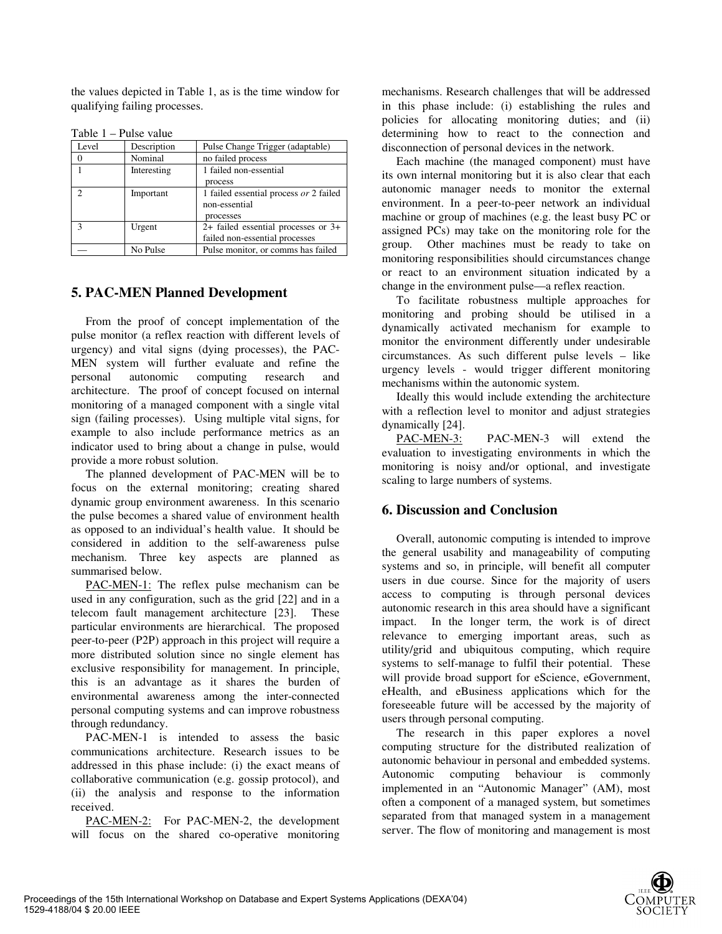the values depicted in Table 1, as is the time window for qualifying failing processes.

| Table 1 – Pulse value |  |  |  |  |
|-----------------------|--|--|--|--|
|-----------------------|--|--|--|--|

| $1401C + 1413C$ value |             |                                         |  |  |
|-----------------------|-------------|-----------------------------------------|--|--|
| Level                 | Description | Pulse Change Trigger (adaptable)        |  |  |
|                       | Nominal     | no failed process                       |  |  |
|                       | Interesting | 1 failed non-essential                  |  |  |
|                       |             | process                                 |  |  |
| ↑                     | Important   | 1 failed essential process or 2 failed  |  |  |
|                       |             | non-essential                           |  |  |
|                       |             | processes                               |  |  |
| $\mathbf{a}$          | Urgent      | $2+$ failed essential processes or $3+$ |  |  |
|                       |             | failed non-essential processes          |  |  |
|                       | No Pulse    | Pulse monitor, or comms has failed      |  |  |

### **5. PAC-MEN Planned Development**

From the proof of concept implementation of the pulse monitor (a reflex reaction with different levels of urgency) and vital signs (dying processes), the PAC-MEN system will further evaluate and refine the personal autonomic computing research and architecture. The proof of concept focused on internal monitoring of a managed component with a single vital sign (failing processes). Using multiple vital signs, for example to also include performance metrics as an indicator used to bring about a change in pulse, would provide a more robust solution.

The planned development of PAC-MEN will be to focus on the external monitoring; creating shared dynamic group environment awareness. In this scenario the pulse becomes a shared value of environment health as opposed to an individual's health value. It should be considered in addition to the self-awareness pulse mechanism. Three key aspects are planned as summarised below.

PAC-MEN-1: The reflex pulse mechanism can be used in any configuration, such as the grid [22] and in a telecom fault management architecture [23]. These particular environments are hierarchical. The proposed peer-to-peer (P2P) approach in this project will require a more distributed solution since no single element has exclusive responsibility for management. In principle, this is an advantage as it shares the burden of environmental awareness among the inter-connected personal computing systems and can improve robustness through redundancy.

PAC-MEN-1 is intended to assess the basic communications architecture. Research issues to be addressed in this phase include: (i) the exact means of collaborative communication (e.g. gossip protocol), and (ii) the analysis and response to the information received.

PAC-MEN-2: For PAC-MEN-2, the development will focus on the shared co-operative monitoring

mechanisms. Research challenges that will be addressed in this phase include: (i) establishing the rules and policies for allocating monitoring duties; and (ii) determining how to react to the connection and disconnection of personal devices in the network.

Each machine (the managed component) must have its own internal monitoring but it is also clear that each autonomic manager needs to monitor the external environment. In a peer-to-peer network an individual machine or group of machines (e.g. the least busy PC or assigned PCs) may take on the monitoring role for the group. Other machines must be ready to take on monitoring responsibilities should circumstances change or react to an environment situation indicated by a change in the environment pulse—a reflex reaction.

To facilitate robustness multiple approaches for monitoring and probing should be utilised in a dynamically activated mechanism for example to monitor the environment differently under undesirable circumstances. As such different pulse levels – like urgency levels - would trigger different monitoring mechanisms within the autonomic system.

Ideally this would include extending the architecture with a reflection level to monitor and adjust strategies dynamically [24].

PAC-MEN-3: PAC-MEN-3 will extend the evaluation to investigating environments in which the monitoring is noisy and/or optional, and investigate scaling to large numbers of systems.

### **6. Discussion and Conclusion**

Overall, autonomic computing is intended to improve the general usability and manageability of computing systems and so, in principle, will benefit all computer users in due course. Since for the majority of users access to computing is through personal devices autonomic research in this area should have a significant impact. In the longer term, the work is of direct relevance to emerging important areas, such as utility/grid and ubiquitous computing, which require systems to self-manage to fulfil their potential. These will provide broad support for eScience, eGovernment, eHealth, and eBusiness applications which for the foreseeable future will be accessed by the majority of users through personal computing.

The research in this paper explores a novel computing structure for the distributed realization of autonomic behaviour in personal and embedded systems. Autonomic computing behaviour is commonly implemented in an "Autonomic Manager" (AM), most often a component of a managed system, but sometimes separated from that managed system in a management server. The flow of monitoring and management is most